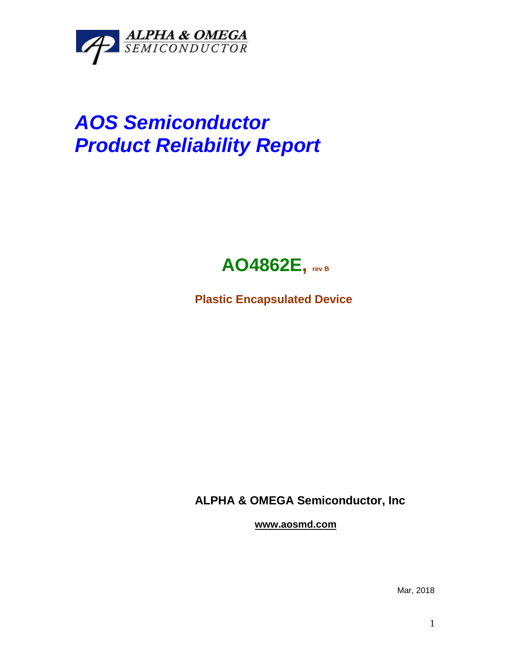

## *AOS Semiconductor Product Reliability Report*



**Plastic Encapsulated Device**

**ALPHA & OMEGA Semiconductor, Inc**

**www.aosmd.com**

Mar, 2018